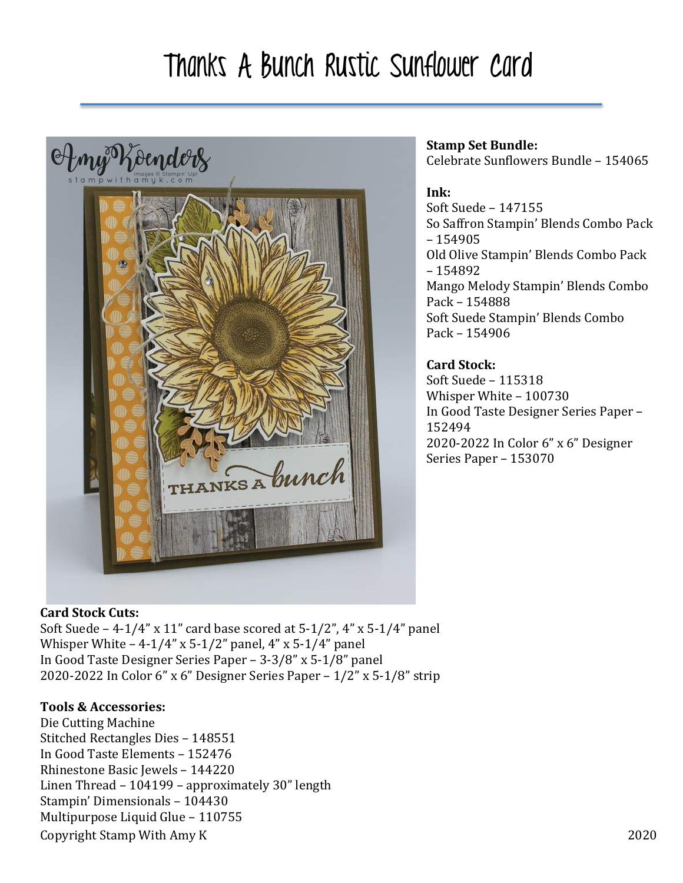## Thanks A Bunch Rustic Sunflower Card



## **Stamp Set Bundle:**

Celebrate Sunflowers Bundle - 154065

### **Ink:**

Soft Suede - 147155 So Saffron Stampin' Blends Combo Pack – 154905 Old Olive Stampin' Blends Combo Pack – 154892 Mango Melody Stampin' Blends Combo Pack – 154888 Soft Suede Stampin' Blends Combo Pack – 154906

## **Card Stock:**

Soft Suede - 115318 Whisper White - 100730 In Good Taste Designer Series Paper -152494 2020-2022 In Color 6" x 6" Designer Series Paper - 153070

## **Card Stock Cuts:**

Soft Suede – 4-1/4" x 11" card base scored at  $5-1/2$ ", 4" x  $5-1/4$ " panel Whisper White  $-4-1/4$ " x 5-1/2" panel,  $4$ " x 5-1/4" panel In Good Taste Designer Series Paper - 3-3/8" x 5-1/8" panel 2020-2022 In Color 6" x 6" Designer Series Paper –  $1/2$ " x 5-1/8" strip

## **Tools & Accessories:**

Copyright Stamp With Amy K 2020 Die Cutting Machine Stitched Rectangles Dies - 148551 In Good Taste Elements – 152476 Rhinestone Basic Jewels - 144220 Linen Thread  $-104199$  – approximately  $30''$  length Stampin' Dimensionals - 104430 Multipurpose Liquid Glue - 110755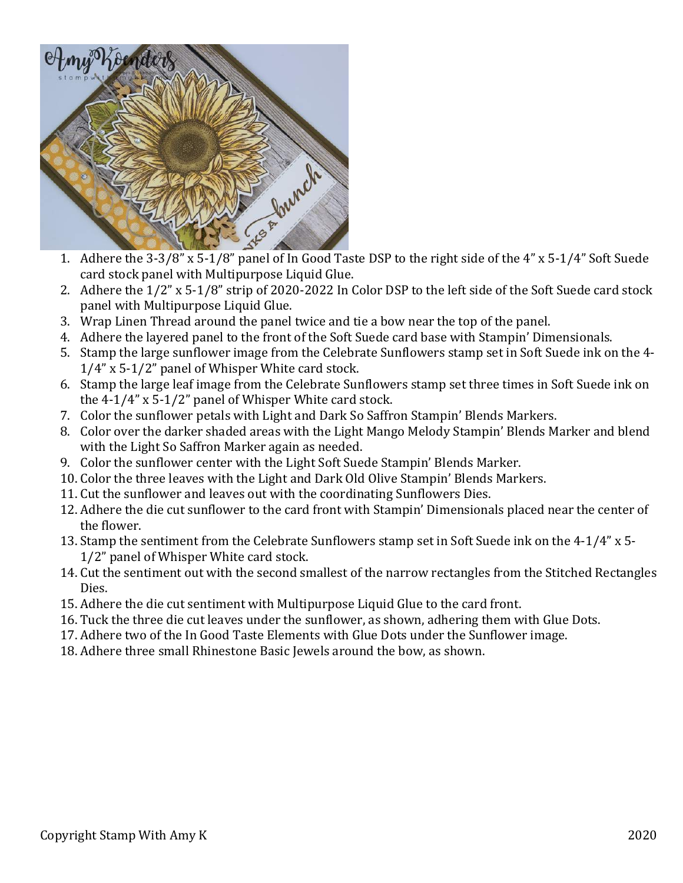

- 1. Adhere the  $3-3/8$ " x  $5-1/8$ " panel of In Good Taste DSP to the right side of the  $4$ " x  $5-1/4$ " Soft Suede card stock panel with Multipurpose Liquid Glue.
- 2. Adhere the  $1/2$ " x 5-1/8" strip of 2020-2022 In Color DSP to the left side of the Soft Suede card stock panel with Multipurpose Liquid Glue.
- 3. Wrap Linen Thread around the panel twice and tie a bow near the top of the panel.
- 4. Adhere the layered panel to the front of the Soft Suede card base with Stampin' Dimensionals.
- 5. Stamp the large sunflower image from the Celebrate Sunflowers stamp set in Soft Suede ink on the 4- $1/4$ " x 5-1/2" panel of Whisper White card stock.
- 6. Stamp the large leaf image from the Celebrate Sunflowers stamp set three times in Soft Suede ink on the  $4-1/4$ " x  $5-1/2$ " panel of Whisper White card stock.
- 7. Color the sunflower petals with Light and Dark So Saffron Stampin' Blends Markers.
- 8. Color over the darker shaded areas with the Light Mango Melody Stampin' Blends Marker and blend with the Light So Saffron Marker again as needed.
- 9. Color the sunflower center with the Light Soft Suede Stampin' Blends Marker.
- 10. Color the three leaves with the Light and Dark Old Olive Stampin' Blends Markers.
- 11. Cut the sunflower and leaves out with the coordinating Sunflowers Dies.
- 12. Adhere the die cut sunflower to the card front with Stampin' Dimensionals placed near the center of the flower.
- 13. Stamp the sentiment from the Celebrate Sunflowers stamp set in Soft Suede ink on the 4-1/4" x 5-1/2" panel of Whisper White card stock.
- 14. Cut the sentiment out with the second smallest of the narrow rectangles from the Stitched Rectangles Dies.
- 15. Adhere the die cut sentiment with Multipurpose Liquid Glue to the card front.
- 16. Tuck the three die cut leaves under the sunflower, as shown, adhering them with Glue Dots.
- 17. Adhere two of the In Good Taste Elements with Glue Dots under the Sunflower image.
- 18. Adhere three small Rhinestone Basic Jewels around the bow, as shown.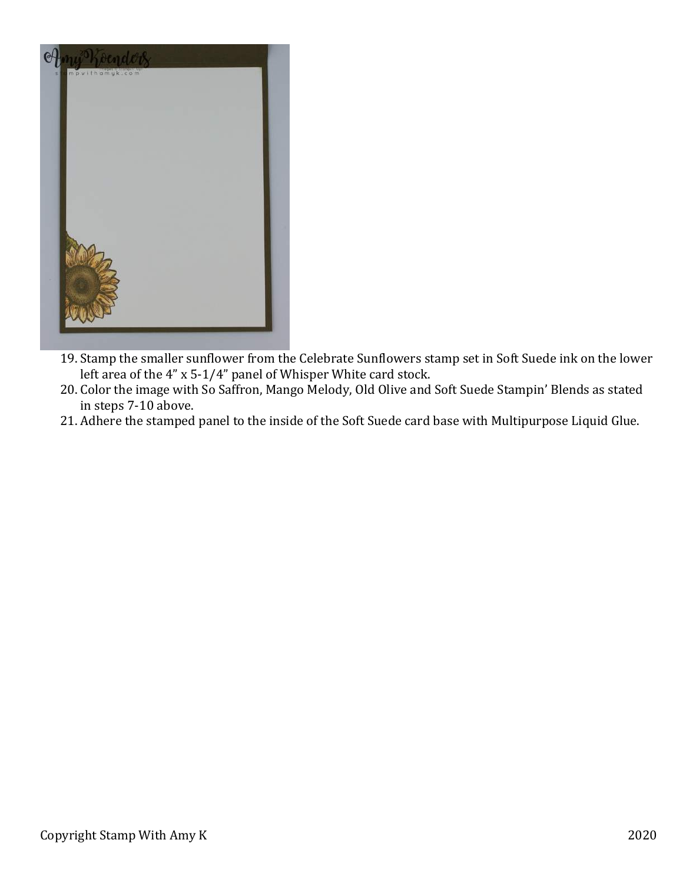

- 19. Stamp the smaller sunflower from the Celebrate Sunflowers stamp set in Soft Suede ink on the lower left area of the  $4$ " x 5-1/4" panel of Whisper White card stock.
- 20. Color the image with So Saffron, Mango Melody, Old Olive and Soft Suede Stampin' Blends as stated in steps 7-10 above.
- 21. Adhere the stamped panel to the inside of the Soft Suede card base with Multipurpose Liquid Glue.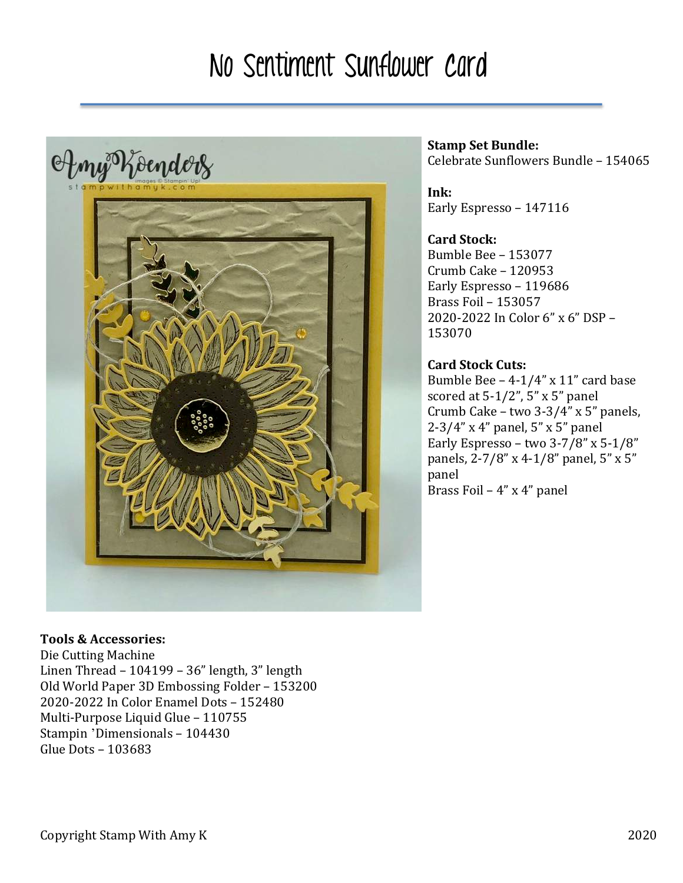## No Sentiment Sunflower Card



#### **Stamp Set Bundle:** Celebrate Sunflowers Bundle - 154065

**Ink:** Early Espresso - 147116

## **Card Stock:**

Bumble Bee – 153077 Crumb Cake – 120953 Early Espresso - 119686 Brass Foil – 153057 2020-2022 In Color 6" x 6" DSP – 153070

## **Card Stock Cuts:**

Bumble Bee  $-4-1/4$ " x 11" card base scored at  $5-1/2$ ",  $5$ " x  $5$ " panel Crumb Cake – two  $3-3/4$ " x 5" panels,  $2-3/4$ " x 4" panel, 5" x 5" panel Early Espresso – two  $3-7/8$ " x  $5-1/8$ " panels, 2-7/8" x 4-1/8" panel, 5" x 5" panel Brass Foil –  $4"$  x  $4"$  panel

## **Tools & Accessories:**

Die Cutting Machine Linen Thread  $-104199 - 36"$  length, 3" length Old World Paper 3D Embossing Folder - 153200 2020-2022 In Color Enamel Dots – 152480 Multi-Purpose Liquid Glue - 110755 Stampin 'Dimensionals - 104430 Glue Dots – 103683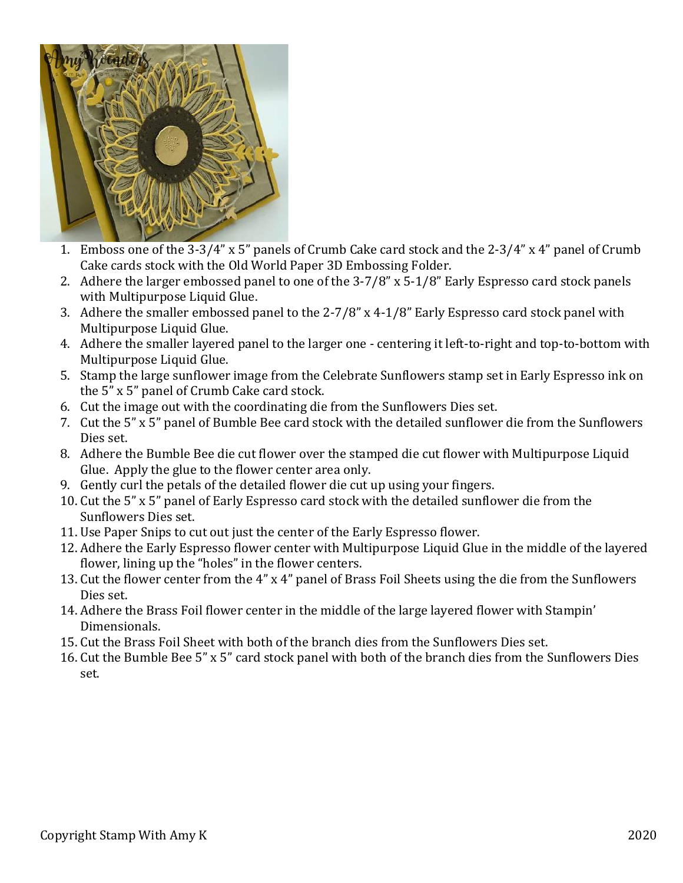

- 1. Emboss one of the  $3-3/4$ " x 5" panels of Crumb Cake card stock and the  $2-3/4$ " x 4" panel of Crumb Cake cards stock with the Old World Paper 3D Embossing Folder.
- 2. Adhere the larger embossed panel to one of the  $3-7/8$ " x  $5-1/8$ " Early Espresso card stock panels with Multipurpose Liquid Glue.
- 3. Adhere the smaller embossed panel to the  $2-7/8$ " x 4-1/8" Early Espresso card stock panel with Multipurpose Liquid Glue.
- 4. Adhere the smaller layered panel to the larger one centering it left-to-right and top-to-bottom with Multipurpose Liquid Glue.
- 5. Stamp the large sunflower image from the Celebrate Sunflowers stamp set in Early Espresso ink on the 5" x 5" panel of Crumb Cake card stock.
- 6. Cut the image out with the coordinating die from the Sunflowers Dies set.
- 7. Cut the 5" x 5" panel of Bumble Bee card stock with the detailed sunflower die from the Sunflowers Dies set.
- 8. Adhere the Bumble Bee die cut flower over the stamped die cut flower with Multipurpose Liquid Glue. Apply the glue to the flower center area only.
- 9. Gently curl the petals of the detailed flower die cut up using your fingers.
- 10. Cut the 5" x 5" panel of Early Espresso card stock with the detailed sunflower die from the Sunflowers Dies set.
- 11. Use Paper Snips to cut out just the center of the Early Espresso flower.
- 12. Adhere the Early Espresso flower center with Multipurpose Liquid Glue in the middle of the layered flower, lining up the "holes" in the flower centers.
- 13. Cut the flower center from the 4" x 4" panel of Brass Foil Sheets using the die from the Sunflowers Dies set.
- 14. Adhere the Brass Foil flower center in the middle of the large layered flower with Stampin' Dimensionals.
- 15. Cut the Brass Foil Sheet with both of the branch dies from the Sunflowers Dies set.
- 16. Cut the Bumble Bee 5" x 5" card stock panel with both of the branch dies from the Sunflowers Dies set.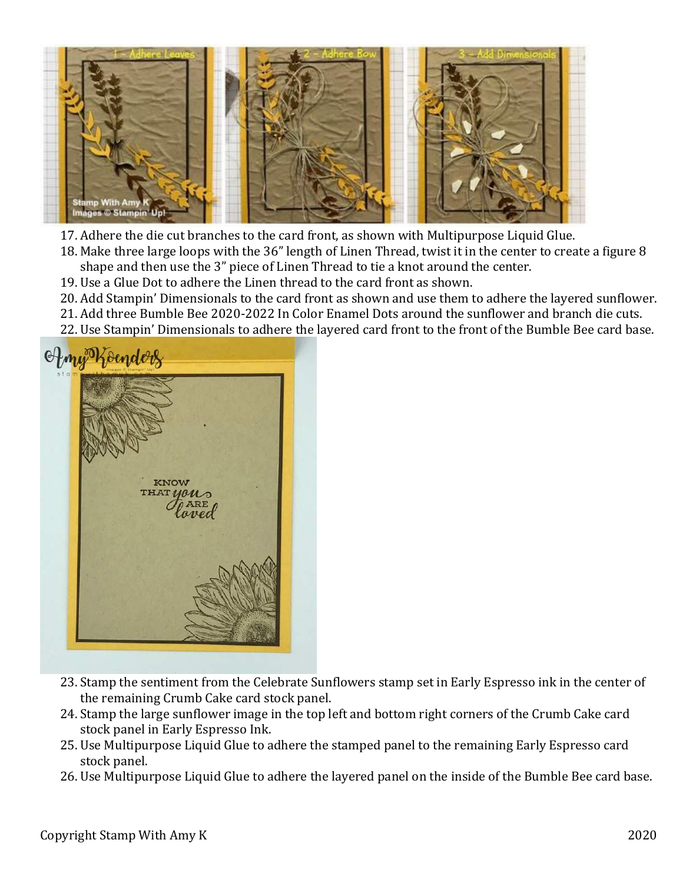

- 17. Adhere the die cut branches to the card front, as shown with Multipurpose Liquid Glue.
- 18. Make three large loops with the 36" length of Linen Thread, twist it in the center to create a figure 8 shape and then use the 3" piece of Linen Thread to tie a knot around the center.
- 19. Use a Glue Dot to adhere the Linen thread to the card front as shown.
- 20. Add Stampin' Dimensionals to the card front as shown and use them to adhere the layered sunflower.
- 21. Add three Bumble Bee 2020-2022 In Color Enamel Dots around the sunflower and branch die cuts.
- 22. Use Stampin' Dimensionals to adhere the layered card front to the front of the Bumble Bee card base.



- 23. Stamp the sentiment from the Celebrate Sunflowers stamp set in Early Espresso ink in the center of the remaining Crumb Cake card stock panel.
- 24. Stamp the large sunflower image in the top left and bottom right corners of the Crumb Cake card stock panel in Early Espresso Ink.
- 25. Use Multipurpose Liquid Glue to adhere the stamped panel to the remaining Early Espresso card stock panel.
- 26. Use Multipurpose Liquid Glue to adhere the layered panel on the inside of the Bumble Bee card base.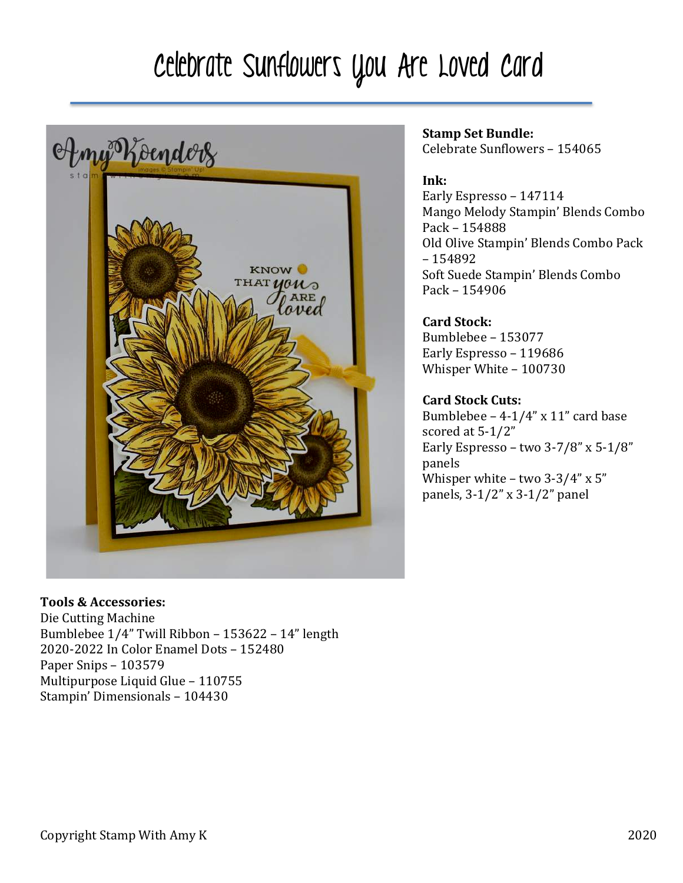# Celebrate Sunflowers You Are Loved Card



#### **Tools & Accessories:**

Die Cutting Machine Bumblebee  $1/4$ " Twill Ribbon - 153622 - 14" length 2020-2022 In Color Enamel Dots - 152480 Paper Snips - 103579 Multipurpose Liquid Glue - 110755 Stampin' Dimensionals - 104430

## **Stamp Set Bundle:**

Celebrate Sunflowers - 154065

### **Ink:**

Early Espresso - 147114 Mango Melody Stampin' Blends Combo Pack – 154888 Old Olive Stampin' Blends Combo Pack – 154892 Soft Suede Stampin' Blends Combo Pack – 154906

#### **Card Stock:**

Bumblebee – 153077 Early Espresso - 119686 Whisper White - 100730

#### **Card Stock Cuts:**

Bumblebee  $-4-1/4$ " x 11" card base scored at 5-1/2" Early Espresso – two  $3-7/8$ " x  $5-1/8$ " panels Whisper white  $-$  two 3-3/4" x 5" panels,  $3-1/2$ " x  $3-1/2$ " panel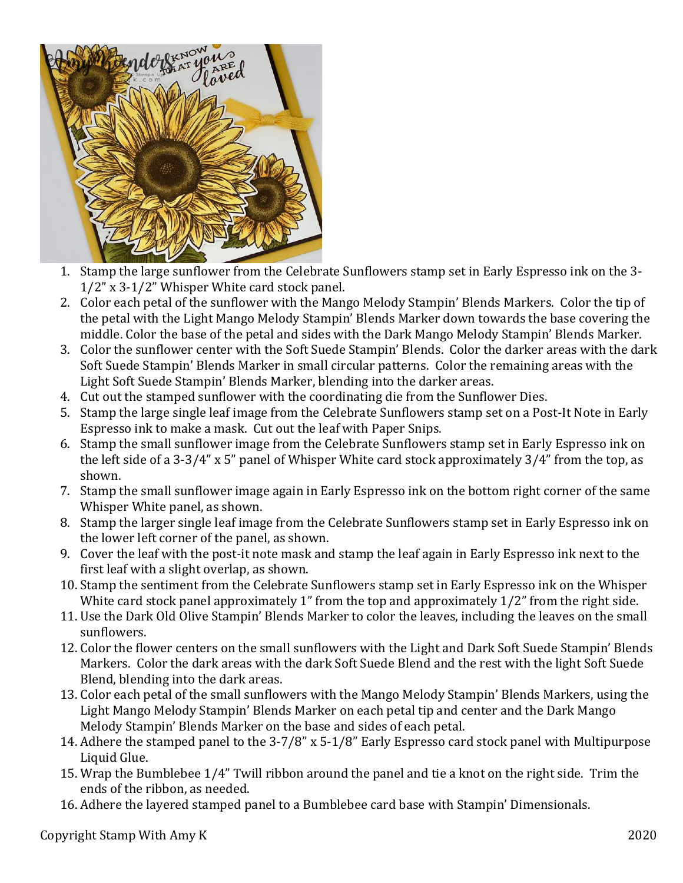

- 1. Stamp the large sunflower from the Celebrate Sunflowers stamp set in Early Espresso ink on the 3- $1/2$ " x 3- $1/2$ " Whisper White card stock panel.
- 2. Color each petal of the sunflower with the Mango Melody Stampin' Blends Markers. Color the tip of the petal with the Light Mango Melody Stampin' Blends Marker down towards the base covering the middle. Color the base of the petal and sides with the Dark Mango Melody Stampin' Blends Marker.
- 3. Color the sunflower center with the Soft Suede Stampin' Blends. Color the darker areas with the dark Soft Suede Stampin' Blends Marker in small circular patterns. Color the remaining areas with the Light Soft Suede Stampin' Blends Marker, blending into the darker areas.
- 4. Cut out the stamped sunflower with the coordinating die from the Sunflower Dies.
- 5. Stamp the large single leaf image from the Celebrate Sunflowers stamp set on a Post-It Note in Early Espresso ink to make a mask. Cut out the leaf with Paper Snips.
- 6. Stamp the small sunflower image from the Celebrate Sunflowers stamp set in Early Espresso ink on the left side of a 3-3/4" x 5" panel of Whisper White card stock approximately  $3/4$ " from the top, as shown.
- 7. Stamp the small sunflower image again in Early Espresso ink on the bottom right corner of the same Whisper White panel, as shown.
- 8. Stamp the larger single leaf image from the Celebrate Sunflowers stamp set in Early Espresso ink on the lower left corner of the panel, as shown.
- 9. Cover the leaf with the post-it note mask and stamp the leaf again in Early Espresso ink next to the first leaf with a slight overlap, as shown.
- 10. Stamp the sentiment from the Celebrate Sunflowers stamp set in Early Espresso ink on the Whisper White card stock panel approximately  $1$ " from the top and approximately  $1/2$ " from the right side.
- 11. Use the Dark Old Olive Stampin' Blends Marker to color the leaves, including the leaves on the small sunflowers.
- 12. Color the flower centers on the small sunflowers with the Light and Dark Soft Suede Stampin' Blends Markers. Color the dark areas with the dark Soft Suede Blend and the rest with the light Soft Suede Blend, blending into the dark areas.
- 13. Color each petal of the small sunflowers with the Mango Melody Stampin' Blends Markers, using the Light Mango Melody Stampin' Blends Marker on each petal tip and center and the Dark Mango Melody Stampin' Blends Marker on the base and sides of each petal.
- 14. Adhere the stamped panel to the 3-7/8" x 5-1/8" Early Espresso card stock panel with Multipurpose Liquid Glue.
- 15. Wrap the Bumblebee 1/4" Twill ribbon around the panel and tie a knot on the right side. Trim the ends of the ribbon, as needed.
- 16. Adhere the layered stamped panel to a Bumblebee card base with Stampin' Dimensionals.

Copyright Stamp With Amy K 2020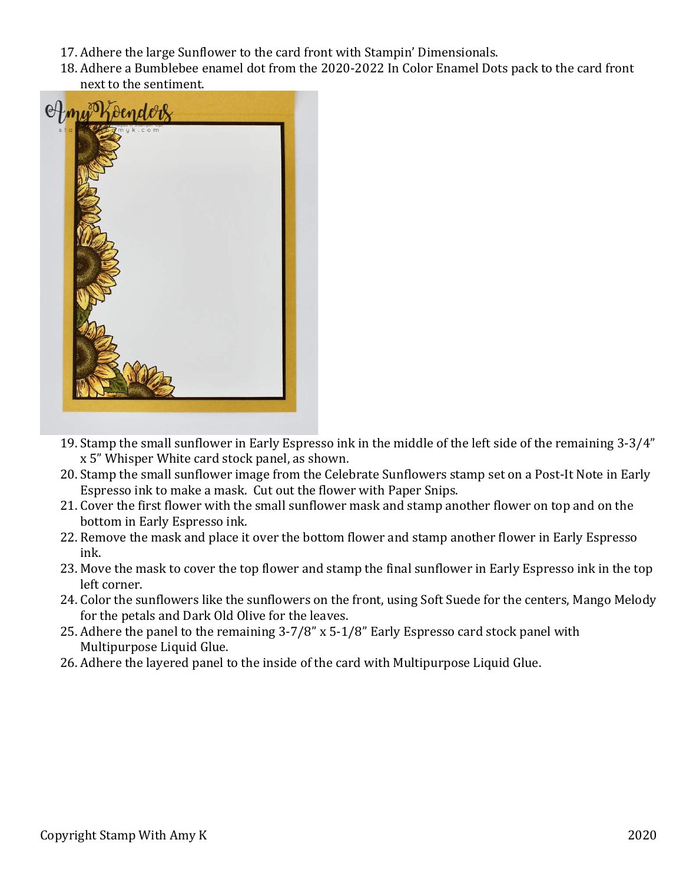- 17. Adhere the large Sunflower to the card front with Stampin' Dimensionals.
- 18. Adhere a Bumblebee enamel dot from the 2020-2022 In Color Enamel Dots pack to the card front next to the sentiment.



- 19. Stamp the small sunflower in Early Espresso ink in the middle of the left side of the remaining 3-3/4" x 5" Whisper White card stock panel, as shown.
- 20. Stamp the small sunflower image from the Celebrate Sunflowers stamp set on a Post-It Note in Early Espresso ink to make a mask. Cut out the flower with Paper Snips.
- 21. Cover the first flower with the small sunflower mask and stamp another flower on top and on the bottom in Early Espresso ink.
- 22. Remove the mask and place it over the bottom flower and stamp another flower in Early Espresso ink.
- 23. Move the mask to cover the top flower and stamp the final sunflower in Early Espresso ink in the top left corner.
- 24. Color the sunflowers like the sunflowers on the front, using Soft Suede for the centers, Mango Melody for the petals and Dark Old Olive for the leaves.
- 25. Adhere the panel to the remaining  $3-7/8$ " x 5-1/8" Early Espresso card stock panel with Multipurpose Liquid Glue.
- 26. Adhere the layered panel to the inside of the card with Multipurpose Liquid Glue.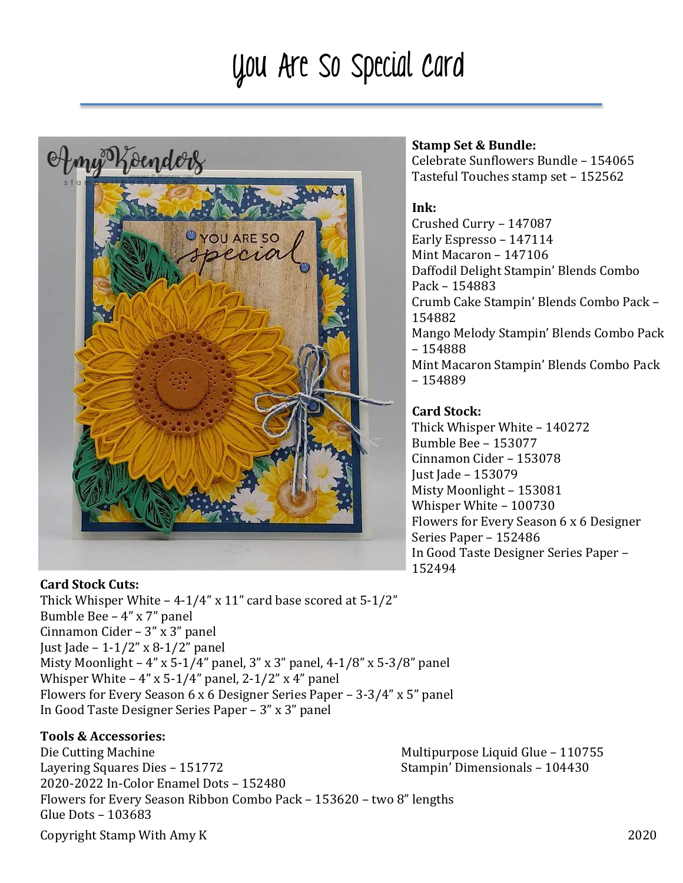# You Are So Special Card



#### **Card Stock Cuts:**

Thick Whisper White  $-4-1/4$ " x 11" card base scored at  $5-1/2$ " Bumble Bee  $-$  4" x 7" panel Cinnamon Cider  $- 3$ " x 3" panel Just Jade -  $1-1/2$ " x 8-1/2" panel Misty Moonlight  $- 4$ " x 5-1/4" panel, 3" x 3" panel, 4-1/8" x 5-3/8" panel Whisper White  $-4$ " x 5-1/4" panel, 2-1/2" x 4" panel Flowers for Every Season 6 x 6 Designer Series Paper – 3-3/4" x 5" panel In Good Taste Designer Series Paper  $- 3$ " x 3" panel

### **Tools & Accessories:**

Copyright Stamp With Amy K 2020 Die Cutting Machine Multipurpose Liquid Glue – 110755 Layering Squares Dies – 151772 Stampin' Dimensionals – 104430 2020-2022 In-Color Enamel Dots - 152480 Flowers for Every Season Ribbon Combo Pack - 153620 - two 8" lengths Glue Dots - 103683

#### **Stamp Set & Bundle:**

Celebrate Sunflowers Bundle - 154065 Tasteful Touches stamp set - 152562

#### **Ink:**

Crushed Curry - 147087 Early Espresso - 147114 Mint Macaron - 147106 Daffodil Delight Stampin' Blends Combo Pack – 154883 Crumb Cake Stampin' Blends Combo Pack -154882 Mango Melody Stampin' Blends Combo Pack – 154888 Mint Macaron Stampin' Blends Combo Pack – 154889

## **Card Stock:**

Thick Whisper White - 140272 Bumble Bee – 153077 Cinnamon Cider – 153078 Just Jade - 153079 Misty Moonlight - 153081 Whisper White - 100730 Flowers for Every Season 6 x 6 Designer Series Paper - 152486 In Good Taste Designer Series Paper -152494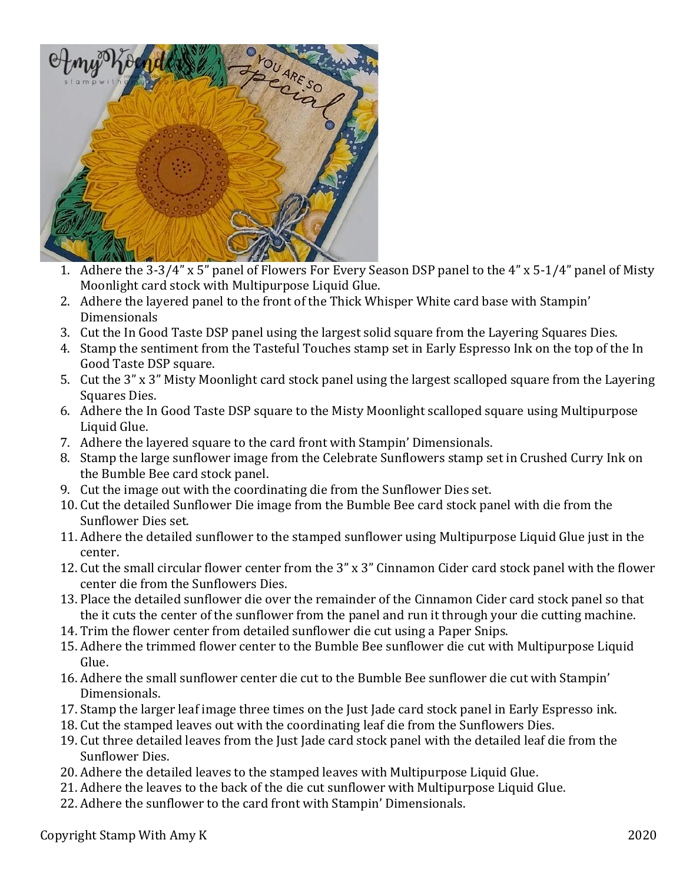

- 1. Adhere the  $3-3/4$ " x 5" panel of Flowers For Every Season DSP panel to the  $4$ " x 5-1/4" panel of Misty Moonlight card stock with Multipurpose Liquid Glue.
- 2. Adhere the layered panel to the front of the Thick Whisper White card base with Stampin' Dimensionals
- 3. Cut the In Good Taste DSP panel using the largest solid square from the Layering Squares Dies.
- 4. Stamp the sentiment from the Tasteful Touches stamp set in Early Espresso Ink on the top of the In Good Taste DSP square.
- 5. Cut the 3" x 3" Misty Moonlight card stock panel using the largest scalloped square from the Layering Squares Dies.
- 6. Adhere the In Good Taste DSP square to the Misty Moonlight scalloped square using Multipurpose Liquid Glue.
- 7. Adhere the layered square to the card front with Stampin' Dimensionals.
- 8. Stamp the large sunflower image from the Celebrate Sunflowers stamp set in Crushed Curry Ink on the Bumble Bee card stock panel.
- 9. Cut the image out with the coordinating die from the Sunflower Dies set.
- 10. Cut the detailed Sunflower Die image from the Bumble Bee card stock panel with die from the Sunflower Dies set.
- 11. Adhere the detailed sunflower to the stamped sunflower using Multipurpose Liquid Glue just in the center.
- 12. Cut the small circular flower center from the 3" x 3" Cinnamon Cider card stock panel with the flower center die from the Sunflowers Dies.
- 13. Place the detailed sunflower die over the remainder of the Cinnamon Cider card stock panel so that the it cuts the center of the sunflower from the panel and run it through your die cutting machine.
- 14. Trim the flower center from detailed sunflower die cut using a Paper Snips.
- 15. Adhere the trimmed flower center to the Bumble Bee sunflower die cut with Multipurpose Liquid Glue.
- 16. Adhere the small sunflower center die cut to the Bumble Bee sunflower die cut with Stampin' Dimensionals.
- 17. Stamp the larger leaf image three times on the Just Jade card stock panel in Early Espresso ink.
- 18. Cut the stamped leaves out with the coordinating leaf die from the Sunflowers Dies.
- 19. Cut three detailed leaves from the Just Jade card stock panel with the detailed leaf die from the Sunflower Dies.
- 20. Adhere the detailed leaves to the stamped leaves with Multipurpose Liquid Glue.
- 21. Adhere the leaves to the back of the die cut sunflower with Multipurpose Liquid Glue.
- 22. Adhere the sunflower to the card front with Stampin' Dimensionals.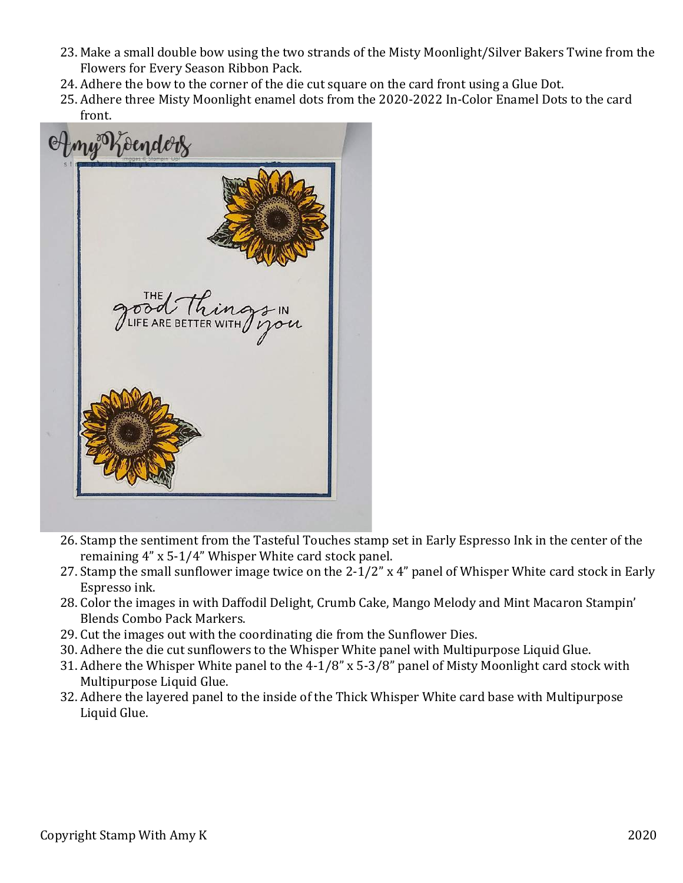- 23. Make a small double bow using the two strands of the Misty Moonlight/Silver Bakers Twine from the Flowers for Every Season Ribbon Pack.
- 24. Adhere the bow to the corner of the die cut square on the card front using a Glue Dot.
- 25. Adhere three Misty Moonlight enamel dots from the 2020-2022 In-Color Enamel Dots to the card front.



- 26. Stamp the sentiment from the Tasteful Touches stamp set in Early Espresso Ink in the center of the remaining 4" x 5-1/4" Whisper White card stock panel.
- 27. Stamp the small sunflower image twice on the  $2-1/2$ " x 4" panel of Whisper White card stock in Early Espresso ink.
- 28. Color the images in with Daffodil Delight, Crumb Cake, Mango Melody and Mint Macaron Stampin' Blends Combo Pack Markers.
- 29. Cut the images out with the coordinating die from the Sunflower Dies.
- 30. Adhere the die cut sunflowers to the Whisper White panel with Multipurpose Liquid Glue.
- 31. Adhere the Whisper White panel to the  $4-1/8$ " x 5-3/8" panel of Misty Moonlight card stock with Multipurpose Liquid Glue.
- 32. Adhere the layered panel to the inside of the Thick Whisper White card base with Multipurpose Liquid Glue.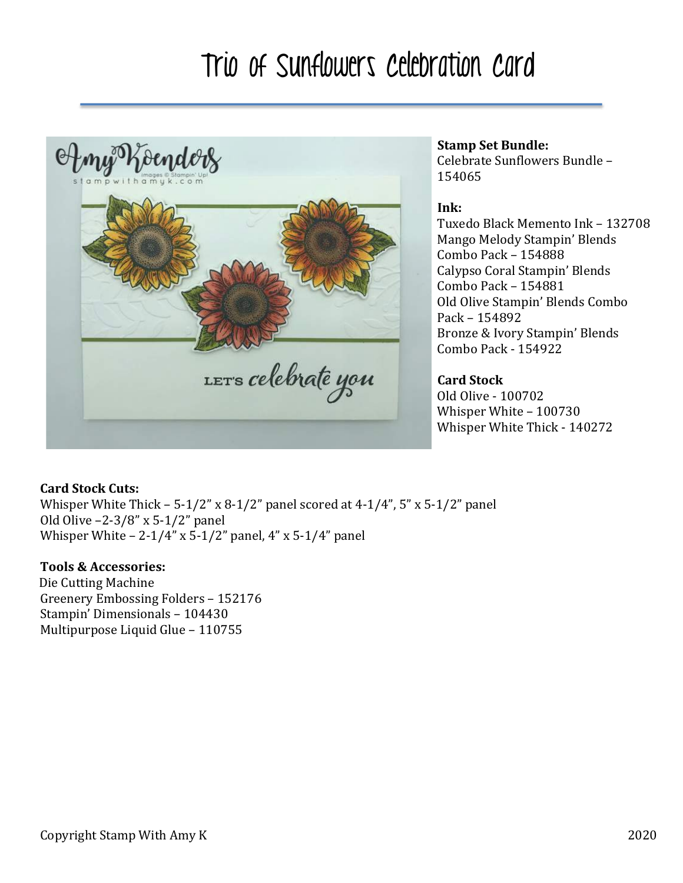## Trio of Sunflowers Celebration Card



### **Stamp Set Bundle:**

Celebrate Sunflowers Bundle -154065

#### **Ink:**

Tuxedo Black Memento Ink – 132708 Mango Melody Stampin' Blends Combo Pack - 154888 Calypso Coral Stampin' Blends Combo Pack - 154881 Old Olive Stampin' Blends Combo Pack – 154892 Bronze & Ivory Stampin' Blends Combo Pack - 154922

## **Card Stock**

Old Olive - 100702 Whisper White - 100730 Whisper White Thick - 140272

#### **Card Stock Cuts:**

Whisper White Thick  $- 5-1/2$ " x 8-1/2" panel scored at 4-1/4", 5" x 5-1/2" panel Old Olive  $-2-3/8$ " x 5-1/2" panel Whisper White  $- 2 - 1/4$ " x 5-1/2" panel,  $4$ " x 5-1/4" panel

#### **Tools & Accessories:**

Die Cutting Machine Greenery Embossing Folders - 152176 Stampin' Dimensionals – 104430 Multipurpose Liquid Glue - 110755